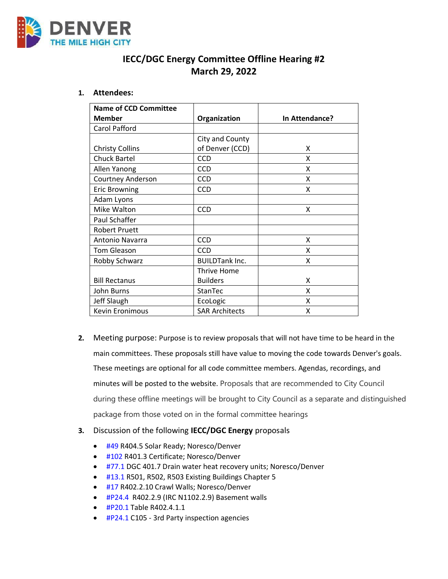

## **IECC/DGC Energy Committee Offline Hearing #2 March 29, 2022**

### **1. Attendees:**

| <b>Name of CCD Committee</b> |                       |                |
|------------------------------|-----------------------|----------------|
| <b>Member</b>                | Organization          | In Attendance? |
| Carol Pafford                |                       |                |
|                              | City and County       |                |
| <b>Christy Collins</b>       | of Denver (CCD)       | x              |
| <b>Chuck Bartel</b>          | <b>CCD</b>            | x              |
| Allen Yanong                 | <b>CCD</b>            | X              |
| Courtney Anderson            | <b>CCD</b>            | X              |
| <b>Eric Browning</b>         | <b>CCD</b>            | x              |
| Adam Lyons                   |                       |                |
| Mike Walton                  | <b>CCD</b>            | X              |
| Paul Schaffer                |                       |                |
| <b>Robert Pruett</b>         |                       |                |
| Antonio Navarra              | <b>CCD</b>            | x              |
| <b>Tom Gleason</b>           | <b>CCD</b>            | x              |
| Robby Schwarz                | <b>BUILDTank Inc.</b> | x              |
|                              | Thrive Home           |                |
| <b>Bill Rectanus</b>         | <b>Builders</b>       | x              |
| John Burns                   | StanTec               | x              |
| <b>Jeff Slaugh</b>           | EcoLogic              | X              |
| Kevin Eronimous              | <b>SAR Architects</b> | x              |

**2.** Meeting purpose: Purpose is to review proposals that will not have time to be heard in the main committees. These proposals still have value to moving the code towards Denver's goals. These meetings are optional for all code committee members. Agendas, recordings, and minutes will be posted to the website. Proposals that are recommended to City Council during these offline meetings will be brought to City Council as a separate and distinguished package from those voted on in the formal committee hearings

### **3.** Discussion of the following **IECC/DGC Energy** proposals

- [#49](https://www.denvergov.org/files/assets/public/community-planning-and-development/documents/ds/building-codes/code-adoption/amendment-proposals/iecc/iecc_r404.5_res.pdf) R404.5 Solar Ready; Noresco/Denver
- [#102](https://www.denvergov.org/files/assets/public/community-planning-and-development/documents/ds/building-codes/code-adoption/amendment-proposals/iecc/iecc_r401.3_res.pdf) R401.3 Certificate; Noresco/Denver
- [#77.1](https://www.denvergov.org/files/assets/public/community-planning-and-development/documents/ds/building-codes/code-adoption/amendment-proposals/dgc/dgc_401.7-drain-water-heat-recovery-units.pdf) DGC 401.7 Drain water heat recovery units; Noresco/Denver
- [#13.1](https://www.denvergov.org/files/assets/public/community-planning-and-development/documents/ds/building-codes/code-adoption/amendment-proposals/iecc/iecc_r501-503.pdf) R501, R502, R503 Existing Buildings Chapter 5
- [#17](https://www.denvergov.org/files/assets/public/community-planning-and-development/documents/ds/building-codes/code-adoption/amendment-proposals/iecc/iecc_r402.2.10_res.pdf) R402.2.10 Crawl Walls; Noresco/Denver
- [#P24.4](https://www.denvergov.org/files/assets/public/community-planning-and-development/documents/ds/building-codes/code-adoption/amendment-proposals/iecc/iecc_r402.2.9-_irc-n1102.2.9.pdf) R402.2.9 (IRC N1102.2.9) Basement walls
- [#P20.1](https://www.denvergov.org/files/assets/public/community-planning-and-development/documents/ds/building-codes/code-adoption/amendment-proposals/iecc/iecc_r402.4.1.1_res.pdf) Table R402.4.1.1
- [#P24.1](https://www.denvergov.org/files/assets/public/community-planning-and-development/documents/ds/building-codes/code-adoption/amendment-proposals/iecc/iecc_c105.pdf) C105 3rd Party inspection agencies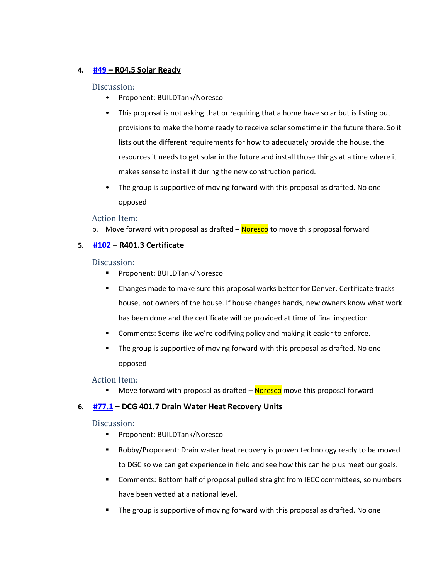### **4. [#49](https://www.denvergov.org/files/assets/public/community-planning-and-development/documents/ds/building-codes/code-adoption/amendment-proposals/iecc/iecc_r404.5_res.pdf) – R04.5 Solar Ready**

### Discussion:

- Proponent: BUILDTank/Noresco
- This proposal is not asking that or requiring that a home have solar but is listing out provisions to make the home ready to receive solar sometime in the future there. So it lists out the different requirements for how to adequately provide the house, the resources it needs to get solar in the future and install those things at a time where it makes sense to install it during the new construction period.
- The group is supportive of moving forward with this proposal as drafted. No one opposed

### Action Item:

b. Move forward with proposal as drafted – Noresco to move this proposal forward

### **5. [#102](https://www.denvergov.org/files/assets/public/community-planning-and-development/documents/ds/building-codes/code-adoption/amendment-proposals/iecc/iecc_r401.3_res.pdf) – R401.3 Certificate**

### Discussion:

- Proponent: BUILDTank/Noresco
- Changes made to make sure this proposal works better for Denver. Certificate tracks house, not owners of the house. If house changes hands, new owners know what work has been done and the certificate will be provided at time of final inspection
- Comments: Seems like we're codifying policy and making it easier to enforce.
- The group is supportive of moving forward with this proposal as drafted. No one opposed

### Action Item:

■ Move forward with proposal as drafted – Noresco move this proposal forward

### **6. [#77.1](https://www.denvergov.org/files/assets/public/community-planning-and-development/documents/ds/building-codes/code-adoption/amendment-proposals/dgc/dgc_401.7-drain-water-heat-recovery-units.pdf) – DCG 401.7 Drain Water Heat Recovery Units**

#### Discussion:

- Proponent: BUILDTank/Noresco
- Robby/Proponent: Drain water heat recovery is proven technology ready to be moved to DGC so we can get experience in field and see how this can help us meet our goals.
- Comments: Bottom half of proposal pulled straight from IECC committees, so numbers have been vetted at a national level.
- **■** The group is supportive of moving forward with this proposal as drafted. No one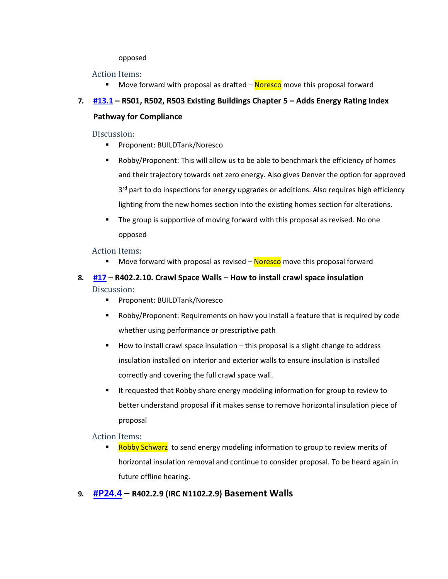### opposed

### Action Items:

Move forward with proposal as drafted  $-$  Noresco move this proposal forward

# **7. [#13.1](https://www.denvergov.org/files/assets/public/community-planning-and-development/documents/ds/building-codes/code-adoption/amendment-proposals/iecc/iecc_r501-503.pdf) – R501, R502, R503 Existing Buildings Chapter 5 – Adds Energy Rating Index**

## **Pathway for Compliance**

### Discussion:

- Proponent: BUILDTank/Noresco
- Robby/Proponent: This will allow us to be able to benchmark the efficiency of homes and their trajectory towards net zero energy. Also gives Denver the option for approved 3<sup>rd</sup> part to do inspections for energy upgrades or additions. Also requires high efficiency lighting from the new homes section into the existing homes section for alterations.
- **•** The group is supportive of moving forward with this proposal as revised. No one opposed

### Action Items:

Move forward with proposal as revised  $-$  Noresco move this proposal forward

## **8. [#17](https://www.denvergov.org/files/assets/public/community-planning-and-development/documents/ds/building-codes/code-adoption/amendment-proposals/iecc/iecc_r402.2.10_res.pdf) – R402.2.10. Crawl Space Walls – How to install crawl space insulation**  Discussion:

- Proponent: BUILDTank/Noresco
- Robby/Proponent: Requirements on how you install a feature that is required by code whether using performance or prescriptive path
- How to install crawl space insulation this proposal is a slight change to address insulation installed on interior and exterior walls to ensure insulation is installed correctly and covering the full crawl space wall.
- It requested that Robby share energy modeling information for group to review to better understand proposal if it makes sense to remove horizontal insulation piece of proposal

### Action Items:

**EXEDBY SCHWARY TO SET AT A FORDIO STARK INCOCO SETABLE INCOCO SETABLE 15 IN SETABLE 15 IN SETABLE 15 INCOCO SE** horizontal insulation removal and continue to consider proposal. To be heard again in future offline hearing.

## **9. [#P24.4](https://www.denvergov.org/files/assets/public/community-planning-and-development/documents/ds/building-codes/code-adoption/amendment-proposals/iecc/iecc_r402.2.9-_irc-n1102.2.9.pdf) – R402.2.9 (IRC N1102.2.9) Basement Walls**